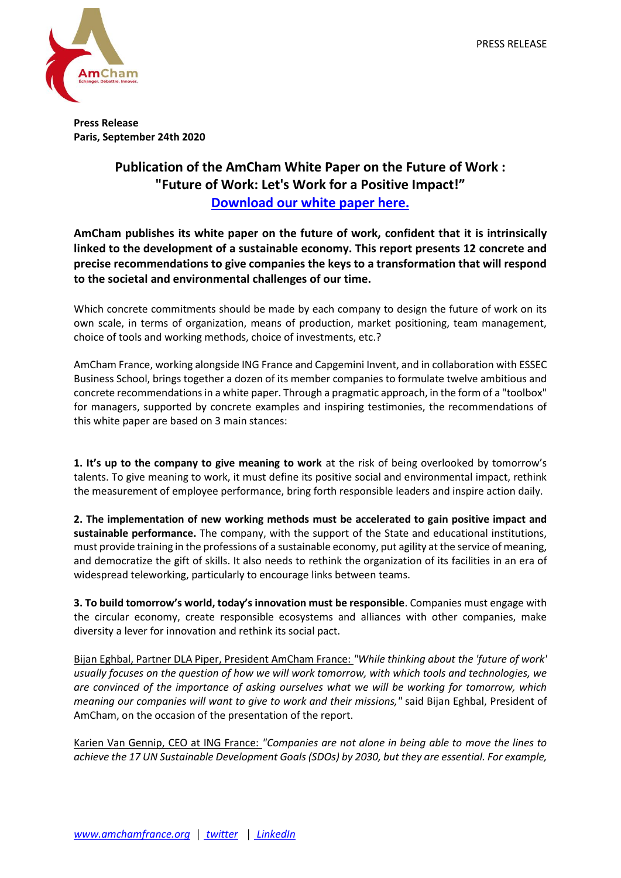

**Press Release Paris, September 24th 2020**

## **Publication of the AmCham White Paper on the Future of Work : "Future of Work: Let's Work for a Positive Impact!" [Download our white paper here.](http://amchamfrance.org/wp-content/uploads/2020/09/AmCham_Future-of-Work_vEN_Web.pdf)**

**AmCham publishes its white paper on the future of work, confident that it is intrinsically linked to the development of a sustainable economy. This report presents 12 concrete and precise recommendations to give companies the keys to a transformation that will respond to the societal and environmental challenges of our time.** 

Which concrete commitments should be made by each company to design the future of work on its own scale, in terms of organization, means of production, market positioning, team management, choice of tools and working methods, choice of investments, etc.?

AmCham France, working alongside ING France and Capgemini Invent, and in collaboration with ESSEC Business School, brings together a dozen of its member companies to formulate twelve ambitious and concrete recommendations in a white paper. Through a pragmatic approach, in the form of a "toolbox" for managers, supported by concrete examples and inspiring testimonies, the recommendations of this white paper are based on 3 main stances:

**1. It's up to the company to give meaning to work** at the risk of being overlooked by tomorrow's talents. To give meaning to work, it must define its positive social and environmental impact, rethink the measurement of employee performance, bring forth responsible leaders and inspire action daily.

**2. The implementation of new working methods must be accelerated to gain positive impact and sustainable performance.** The company, with the support of the State and educational institutions, must provide training in the professions of a sustainable economy, put agility at the service of meaning, and democratize the gift of skills. It also needs to rethink the organization of its facilities in an era of widespread teleworking, particularly to encourage links between teams.

**3. To build tomorrow's world, today's innovation must be responsible**. Companies must engage with the circular economy, create responsible ecosystems and alliances with other companies, make diversity a lever for innovation and rethink its social pact.

Bijan Eghbal, Partner DLA Piper, President AmCham France: *"While thinking about the 'future of work' usually focuses on the question of how we will work tomorrow, with which tools and technologies, we are convinced of the importance of asking ourselves what we will be working for tomorrow, which meaning our companies will want to give to work and their missions,"* said Bijan Eghbal, President of AmCham, on the occasion of the presentation of the report.

Karien Van Gennip, CEO at ING France: *"Companies are not alone in being able to move the lines to achieve the 17 UN Sustainable Development Goals (SDOs) by 2030, but they are essential. For example,*